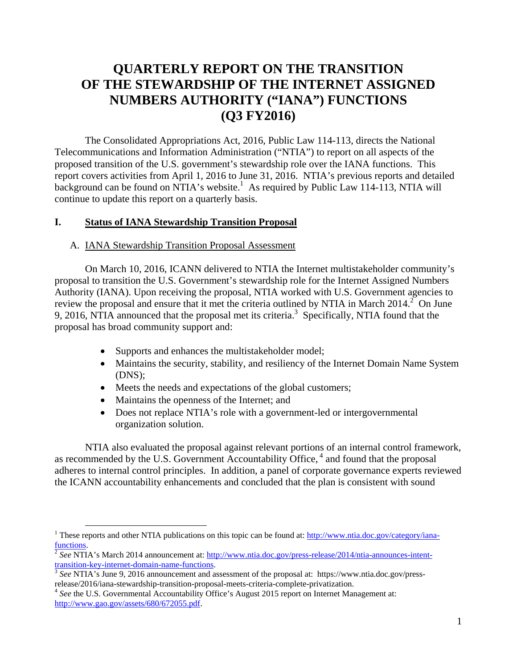# **QUARTERLY REPORT ON THE TRANSITION OF THE STEWARDSHIP OF THE INTERNET ASSIGNED NUMBERS AUTHORITY ("IANA") FUNCTIONS (Q3 FY2016)**

The Consolidated Appropriations Act, 2016, Public Law 114-113, directs the National Telecommunications and Information Administration ("NTIA") to report on all aspects of the proposed transition of the U.S. government's stewardship role over the IANA functions. This report covers activities from April 1, 2016 to June 31, 2016. NTIA's previous reports and detailed background can be found on NTIA's website.<sup>1</sup> As required by Public Law 114-113, NTIA will continue to update this report on a quarterly basis.

### **I. Status of IANA Stewardship Transition Proposal**

#### A. IANA Stewardship Transition Proposal Assessment

On March 10, 2016, ICANN delivered to NTIA the Internet multistakeholder community's proposal to transition the U.S. Government's stewardship role for the Internet Assigned Numbers Authority (IANA). Upon receiving the proposal, NTIA worked with U.S. Government agencies to review the proposal and ensure that it met the criteria outlined by NTIA in March  $2014$ <sup>2</sup> On June 9, 2016, NTIA announced that the proposal met its criteria.<sup>3</sup> Specifically, NTIA found that the proposal has broad community support and:

- Supports and enhances the multistakeholder model;
- Maintains the security, stability, and resiliency of the Internet Domain Name System (DNS);
- Meets the needs and expectations of the global customers;
- Maintains the openness of the Internet; and
- Does not replace NTIA's role with a government-led or intergovernmental organization solution.

NTIA also evaluated the proposal against relevant portions of an internal control framework, as recommended by the U.S. Government Accountability Office,  $4$  and found that the proposal adheres to internal control principles. In addition, a panel of corporate governance experts reviewed the ICANN accountability enhancements and concluded that the plan is consistent with sound

<sup>&</sup>lt;sup>1</sup> These reports and other NTIA publications on this topic can be found at: http://www.ntia.doc.gov/category/ianafunctions. 2 *See* NTIA's March 2014 announcement at: http://www.ntia.doc.gov/press-release/2014/ntia-announces-intent-

transition-key-internet-domain-name-functions. 3 *See* NTIA's June 9, 2016 announcement and assessment of the proposal at: https://www.ntia.doc.gov/press-

release/2016/iana-stewardship-transition-proposal-meets-criteria-complete-privatization. 4 *See* the U.S. Governmental Accountability Office's August 2015 report on Internet Management at:

http://www.gao.gov/assets/680/672055.pdf.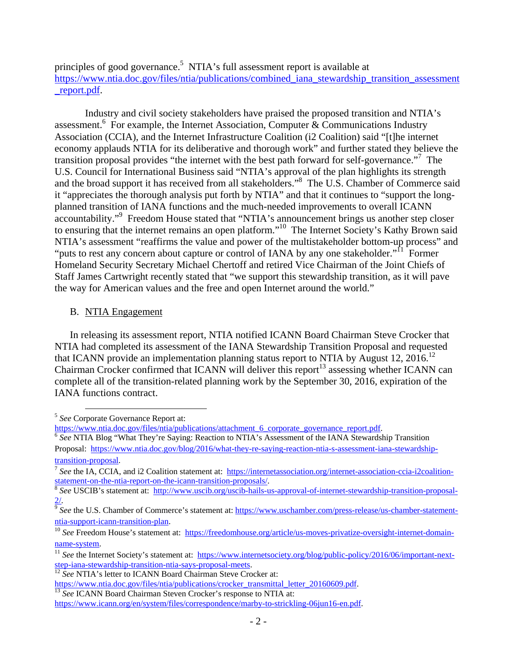principles of good governance.<sup>5</sup> NTIA's full assessment report is available at https://www.ntia.doc.gov/files/ntia/publications/combined\_iana\_stewardship\_transition\_assessment \_report.pdf.

Industry and civil society stakeholders have praised the proposed transition and NTIA's assessment.<sup>6</sup> For example, the Internet Association, Computer & Communications Industry Association (CCIA), and the Internet Infrastructure Coalition (i2 Coalition) said "[t]he internet economy applauds NTIA for its deliberative and thorough work" and further stated they believe the transition proposal provides "the internet with the best path forward for self-governance."<sup>7</sup> The U.S. Council for International Business said "NTIA's approval of the plan highlights its strength and the broad support it has received from all stakeholders."<sup>8</sup> The U.S. Chamber of Commerce said it "appreciates the thorough analysis put forth by NTIA" and that it continues to "support the longplanned transition of IANA functions and the much-needed improvements to overall ICANN accountability."<sup>9</sup> Freedom House stated that "NTIA's announcement brings us another step closer to ensuring that the internet remains an open platform."<sup>10</sup> The Internet Society's Kathy Brown said NTIA's assessment "reaffirms the value and power of the multistakeholder bottom-up process" and "puts to rest any concern about capture or control of IANA by any one stakeholder."<sup>11</sup> Former Homeland Security Secretary Michael Chertoff and retired Vice Chairman of the Joint Chiefs of Staff James Cartwright recently stated that "we support this stewardship transition, as it will pave the way for American values and the free and open Internet around the world."

# B. NTIA Engagement

In releasing its assessment report, NTIA notified ICANN Board Chairman Steve Crocker that NTIA had completed its assessment of the IANA Stewardship Transition Proposal and requested that ICANN provide an implementation planning status report to NTIA by August 12, 2016.<sup>12</sup> Chairman Crocker confirmed that ICANN will deliver this report<sup>13</sup> assessing whether ICANN can complete all of the transition-related planning work by the September 30, 2016, expiration of the IANA functions contract.

<sup>&</sup>lt;sup>5</sup> *See* Corporate Governance Report at:<br>https://www.ntia.doc.gov/files/ntia/publications/attachment 6 corporate governance report.pdf.

<sup>&</sup>lt;sup>6</sup> See NTIA Blog "What They're Saying: Reaction to NTIA's Assessment of the IANA Stewardship Transition Proposal: https://www.ntia.doc.gov/blog/2016/what-they-re-saying-reaction-ntia-s-assessment-iana-stewardship-

transition-proposal.<br><sup>7</sup> *See* the IA, CCIA, and i2 Coalition statement at: https://internetassociation.org/internet-association-ccia-i2coalition-<br>statement-on-the-ntia-report-on-the-icann-transition-proposals/.

<sup>&</sup>lt;sup>8</sup> See USCIB's statement at: http://www.uscib.org/uscib-hails-us-approval-of-internet-stewardship-transition-proposal-2/. 9  *See* the U.S. Chamber of Commerce's statement at: https://www.uschamber.com/press-release/us-chamber-statement-

ntia-support-icann-transition-plan.<br><sup>10</sup> See Freedom House's statement at: https://freedomhouse.org/article/us-moves-privatize-oversight-internet-domain-

name-system.<br><sup>11</sup> *See* the Internet Society's statement at: https://www.internetsociety.org/blog/public-policy/2016/06/important-nextstep-iana-stewardship-transition-ntia-says-proposal-meets.<br><sup>12</sup> *See* NTIA's letter to ICANN Board Chairman Steve Crocker at:<br>https://www.ntia.doc.gov/files/ntia/publications/crocker\_transmittal letter 20160609.pdf.

<sup>&</sup>lt;sup>13</sup> See ICANN Board Chairman Steven Crocker's response to NTIA at:

https://www.icann.org/en/system/files/correspondence/marby-to-strickling-06jun16-en.pdf.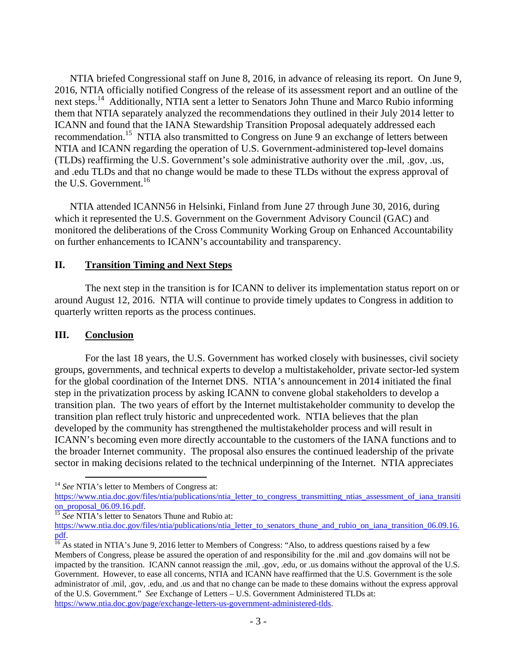NTIA briefed Congressional staff on June 8, 2016, in advance of releasing its report. On June 9, 2016, NTIA officially notified Congress of the release of its assessment report and an outline of the next steps.<sup>14</sup> Additionally, NTIA sent a letter to Senators John Thune and Marco Rubio informing them that NTIA separately analyzed the recommendations they outlined in their July 2014 letter to ICANN and found that the IANA Stewardship Transition Proposal adequately addressed each recommendation.<sup>15</sup> NTIA also transmitted to Congress on June 9 an exchange of letters between NTIA and ICANN regarding the operation of U.S. Government-administered top-level domains (TLDs) reaffirming the U.S. Government's sole administrative authority over the .mil, .gov, .us, and .edu TLDs and that no change would be made to these TLDs without the express approval of the U.S. Government.<sup>16</sup>

NTIA attended ICANN56 in Helsinki, Finland from June 27 through June 30, 2016, during which it represented the U.S. Government on the Government Advisory Council (GAC) and monitored the deliberations of the Cross Community Working Group on Enhanced Accountability on further enhancements to ICANN's accountability and transparency.

# **II. Transition Timing and Next Steps**

The next step in the transition is for ICANN to deliver its implementation status report on or around August 12, 2016. NTIA will continue to provide timely updates to Congress in addition to quarterly written reports as the process continues.

## **III. Conclusion**

For the last 18 years, the U.S. Government has worked closely with businesses, civil society groups, governments, and technical experts to develop a multistakeholder, private sector-led system for the global coordination of the Internet DNS. NTIA's announcement in 2014 initiated the final step in the privatization process by asking ICANN to convene global stakeholders to develop a transition plan. The two years of effort by the Internet multistakeholder community to develop the transition plan reflect truly historic and unprecedented work. NTIA believes that the plan developed by the community has strengthened the multistakeholder process and will result in ICANN's becoming even more directly accountable to the customers of the IANA functions and to the broader Internet community. The proposal also ensures the continued leadership of the private sector in making decisions related to the technical underpinning of the Internet. NTIA appreciates

<sup>&</sup>lt;sup>14</sup> *See* NTIA's letter to Members of Congress at:

https://www.ntia.doc.gov/files/ntia/publications/ntia\_letter\_to\_congress\_transmitting\_ntias\_assessment\_of\_iana\_transiti on\_proposal\_06.09.16.pdf. 15 *See* NTIA's letter to Senators Thune and Rubio at:

https://www.ntia.doc.gov/files/ntia/publications/ntia\_letter\_to\_senators\_thune\_and\_rubio\_on\_iana\_transition\_06.09.16. pdf.<br><sup>16</sup> As stated in NTIA's June 9, 2016 letter to Members of Congress: "Also, to address questions raised by a few

Members of Congress, please be assured the operation of and responsibility for the .mil and .gov domains will not be impacted by the transition. ICANN cannot reassign the .mil, .gov, .edu, or .us domains without the approval of the U.S. Government. However, to ease all concerns, NTIA and ICANN have reaffirmed that the U.S. Government is the sole administrator of .mil, .gov, .edu, and .us and that no change can be made to these domains without the express approval of the U.S. Government." *See* Exchange of Letters – U.S. Government Administered TLDs at: https://www.ntia.doc.gov/page/exchange-letters-us-government-administered-tlds.